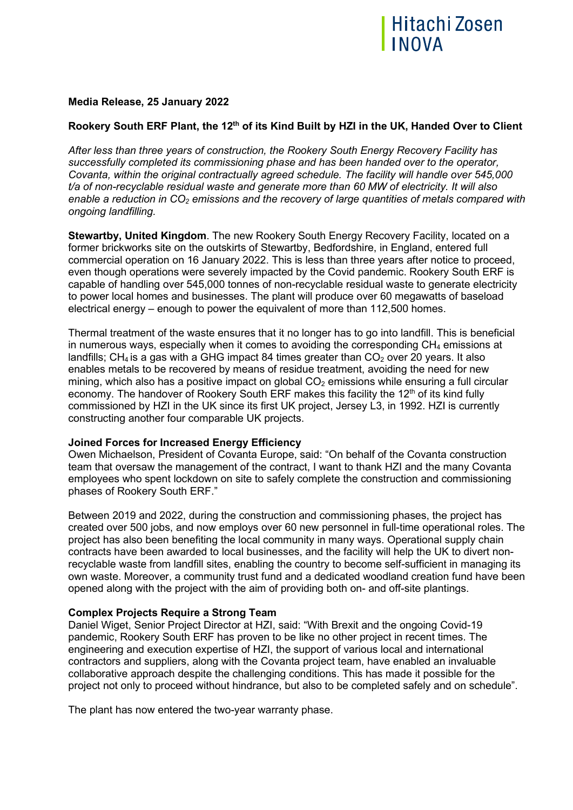

# **Media Release, 25 January 2022**

# **Rookery South ERF Plant, the 12th of its Kind Built by HZI in the UK, Handed Over to Client**

*After less than three years of construction, the Rookery South Energy Recovery Facility has successfully completed its commissioning phase and has been handed over to the operator, Covanta, within the original contractually agreed schedule. The facility will handle over 545,000 t/a of non-recyclable residual waste and generate more than 60 MW of electricity. It will also enable a reduction in CO2 emissions and the recovery of large quantities of metals compared with ongoing landfilling.*

**Stewartby, United Kingdom**. The new Rookery South Energy Recovery Facility, located on a former brickworks site on the outskirts of Stewartby, Bedfordshire, in England, entered full commercial operation on 16 January 2022. This is less than three years after notice to proceed, even though operations were severely impacted by the Covid pandemic. Rookery South ERF is capable of handling over 545,000 tonnes of non-recyclable residual waste to generate electricity to power local homes and businesses. The plant will produce over 60 megawatts of baseload electrical energy – enough to power the equivalent of more than 112,500 homes.

Thermal treatment of the waste ensures that it no longer has to go into landfill. This is beneficial in numerous ways, especially when it comes to avoiding the corresponding  $CH_4$  emissions at landfills;  $CH_4$  is a gas with a GHG impact 84 times greater than  $CO_2$  over 20 years. It also enables metals to be recovered by means of residue treatment, avoiding the need for new mining, which also has a positive impact on global  $CO<sub>2</sub>$  emissions while ensuring a full circular economy. The handover of Rookery South ERF makes this facility the 12<sup>th</sup> of its kind fully commissioned by HZI in the UK since its first UK project, Jersey L3, in 1992. HZI is currently constructing another four comparable UK projects.

## **Joined Forces for Increased Energy Efficiency**

Owen Michaelson, President of Covanta Europe, said: "On behalf of the Covanta construction team that oversaw the management of the contract, I want to thank HZI and the many Covanta employees who spent lockdown on site to safely complete the construction and commissioning phases of Rookery South ERF."

Between 2019 and 2022, during the construction and commissioning phases, the project has created over 500 jobs, and now employs over 60 new personnel in full-time operational roles. The project has also been benefiting the local community in many ways. Operational supply chain contracts have been awarded to local businesses, and the facility will help the UK to divert nonrecyclable waste from landfill sites, enabling the country to become self-sufficient in managing its own waste. Moreover, a community trust fund and a dedicated woodland creation fund have been opened along with the project with the aim of providing both on- and off-site plantings.

## **Complex Projects Require a Strong Team**

Daniel Wiget, Senior Project Director at HZI, said: "With Brexit and the ongoing Covid-19 pandemic, Rookery South ERF has proven to be like no other project in recent times. The engineering and execution expertise of HZI, the support of various local and international contractors and suppliers, along with the Covanta project team, have enabled an invaluable collaborative approach despite the challenging conditions. This has made it possible for the project not only to proceed without hindrance, but also to be completed safely and on schedule".

The plant has now entered the two-year warranty phase.